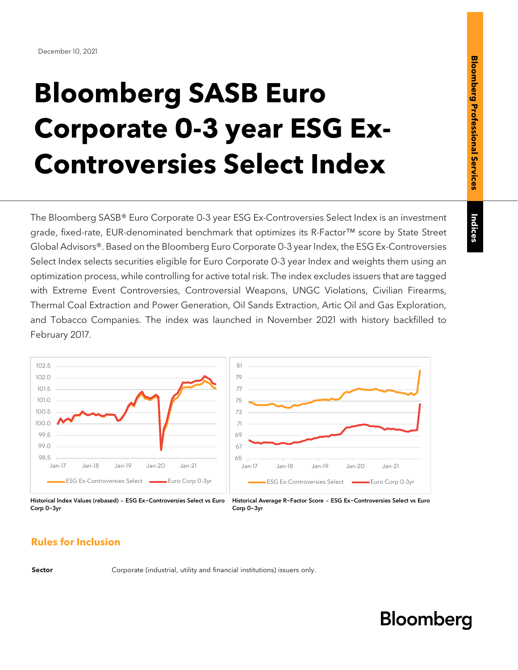Indices

# **Bloomberg SASB Euro Corporate 0-3 year ESG Ex-Controversies Select Index**

The Bloomberg SASB® Euro Corporate 0-3 year ESG Ex-Controversies Select Index is an investment grade, fixed-rate, EUR-denominated benchmark that optimizes its R-Factor™ score by State Street Global Advisors®. Based on the Bloomberg Euro Corporate 0-3 year Index, the ESG Ex-Controversies Select Index selects securities eligible for Euro Corporate 0-3 year Index and weights them using an optimization process, while controlling for active total risk. The index excludes issuers that are tagged with Extreme Event Controversies, Controversial Weapons, UNGC Violations, Civilian Firearms, Thermal Coal Extraction and Power Generation, Oil Sands Extraction, Artic Oil and Gas Exploration, and Tobacco Companies. The index was launched in November 2021 with history backfilled to February 2017.



Historical Index Values (rebased) – ESG Ex-Controversies Select vs Euro Corp 0-3yr Historical Average R-Factor Score – ESG Ex-Controversies Select vs Euro Corp 0-3yr

### **Rules for Inclusion**

**Sector** Corporate (industrial, utility and financial institutions) issuers only.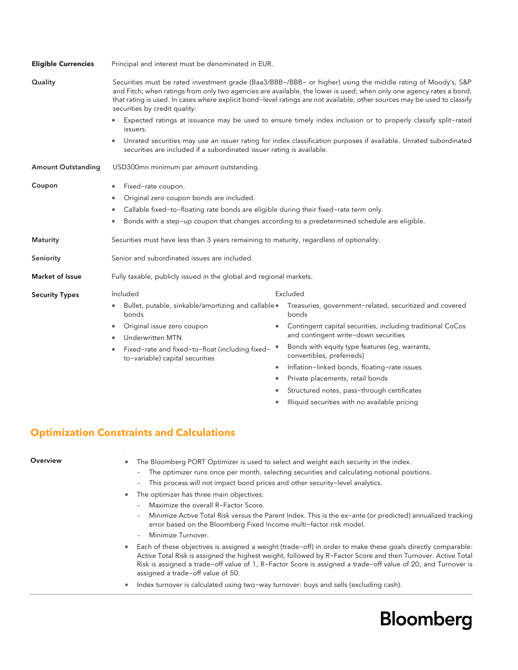| <b>Eligible Currencies</b> | Principal and interest must be denominated in EUR.                                                                                                                                                                                                                                                                                                                                               |                                                                                                    |  |  |
|----------------------------|--------------------------------------------------------------------------------------------------------------------------------------------------------------------------------------------------------------------------------------------------------------------------------------------------------------------------------------------------------------------------------------------------|----------------------------------------------------------------------------------------------------|--|--|
| Quality                    | Securities must be rated investment grade (Baa3/BBB-/BBB- or higher) using the middle rating of Moody's, S&P<br>and Fitch; when ratings from only two agencies are available, the lower is used; when only one agency rates a bond,<br>that rating is used. In cases where explicit bond-level ratings are not available, other sources may be used to classify<br>securities by credit quality: |                                                                                                    |  |  |
|                            | Expected ratings at issuance may be used to ensure timely index inclusion or to properly classify split-rated<br>issuers.                                                                                                                                                                                                                                                                        |                                                                                                    |  |  |
|                            | Unrated securities may use an issuer rating for index classification purposes if available. Unrated subordinated<br>securities are included if a subordinated issuer rating is available.                                                                                                                                                                                                        |                                                                                                    |  |  |
| <b>Amount Outstanding</b>  | USD300mn minimum par amount outstanding.                                                                                                                                                                                                                                                                                                                                                         |                                                                                                    |  |  |
| Coupon                     | Fixed-rate coupon.<br>Original zero coupon bonds are included.<br>Callable fixed-to-floating rate bonds are eligible during their fixed-rate term only.<br>۰                                                                                                                                                                                                                                     | Bonds with a step-up coupon that changes according to a predetermined schedule are eligible.       |  |  |
| <b>Maturity</b>            | Securities must have less than 3 years remaining to maturity, regardless of optionality.                                                                                                                                                                                                                                                                                                         |                                                                                                    |  |  |
| Seniority                  | Senior and subordinated issues are included.                                                                                                                                                                                                                                                                                                                                                     |                                                                                                    |  |  |
| Market of Issue            | Fully taxable, publicly issued in the global and regional markets.                                                                                                                                                                                                                                                                                                                               |                                                                                                    |  |  |
| <b>Security Types</b>      | Included                                                                                                                                                                                                                                                                                                                                                                                         | Excluded                                                                                           |  |  |
|                            | Bullet, putable, sinkable/amortizing and callable.<br>bonds                                                                                                                                                                                                                                                                                                                                      | Treasuries, government-related, securitized and covered<br>bonds                                   |  |  |
|                            | Original issue zero coupon<br>۰<br><b>Underwritten MTN</b><br>$\bullet$                                                                                                                                                                                                                                                                                                                          | Contingent capital securities, including traditional CoCos<br>and contingent write-down securities |  |  |
|                            | Fixed-rate and fixed-to-float (including fixed-<br>to-variable) capital securities                                                                                                                                                                                                                                                                                                               | Bonds with equity type features (eg, warrants,<br>$\bullet$<br>convertibles, preferreds)           |  |  |
|                            |                                                                                                                                                                                                                                                                                                                                                                                                  | Inflation-linked bonds, floating-rate issues                                                       |  |  |
|                            |                                                                                                                                                                                                                                                                                                                                                                                                  | Private placements, retail bonds<br>٠                                                              |  |  |

#### • Structured notes, pass-through certificates

• Illiquid securities with no available pricing

### **Optimization Constraints and Calculations**

| Overview | The Bloomberg PORT Optimizer is used to select and weight each security in the index.<br>$\bullet$<br>The optimizer runs once per month, selecting securities and calculating notional positions.<br>$\overline{\phantom{0}}$<br>This process will not impact bond prices and other security-level analytics.<br>$\overline{\phantom{a}}$<br>The optimizer has three main objectives:<br>$\bullet$<br>Maximize the overall R-Factor Score.<br>$\overline{\phantom{a}}$<br>Minimize Active Total Risk versus the Parent Index. This is the ex-ante (or predicted) annualized tracking<br>$\overline{\phantom{a}}$<br>error based on the Bloomberg Fixed Income multi-factor risk model.<br>Minimize Turnover.<br>$\overline{\phantom{a}}$ |
|----------|------------------------------------------------------------------------------------------------------------------------------------------------------------------------------------------------------------------------------------------------------------------------------------------------------------------------------------------------------------------------------------------------------------------------------------------------------------------------------------------------------------------------------------------------------------------------------------------------------------------------------------------------------------------------------------------------------------------------------------------|
|          | Each of these objectives is assigned a weight (trade-off) in order to make these goals directly comparable:<br>$\bullet$<br>Active Total Risk is assigned the highest weight, followed by R-Factor Score and then Turnover. Active Total<br>Risk is assigned a trade-off value of 1, R-Factor Score is assigned a trade-off value of 20, and Turnover is<br>assigned a trade-off value of 50.<br>Index turnover is calculated using two-way turnover: buys and sells (excluding cash).<br>۰                                                                                                                                                                                                                                              |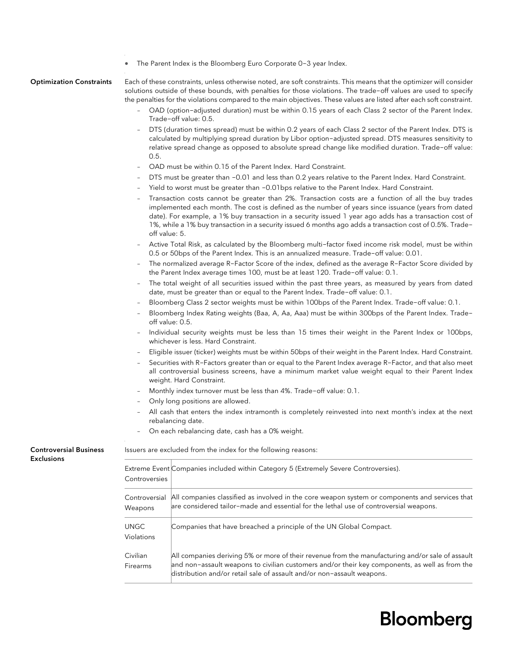|                                 |                           | The Parent Index is the Bloomberg Euro Corporate 0-3 year Index.                                                                                                                                                                                                                                                                                                                                                                  |
|---------------------------------|---------------------------|-----------------------------------------------------------------------------------------------------------------------------------------------------------------------------------------------------------------------------------------------------------------------------------------------------------------------------------------------------------------------------------------------------------------------------------|
| <b>Optimization Constraints</b> |                           | Each of these constraints, unless otherwise noted, are soft constraints. This means that the optimizer will consider<br>solutions outside of these bounds, with penalties for those violations. The trade-off values are used to specify<br>the penalties for the violations compared to the main objectives. These values are listed after each soft constraint.                                                                 |
|                                 |                           | OAD (option-adjusted duration) must be within 0.15 years of each Class 2 sector of the Parent Index.<br>Trade-off value: 0.5.                                                                                                                                                                                                                                                                                                     |
|                                 | 0.5.                      | DTS (duration times spread) must be within 0.2 years of each Class 2 sector of the Parent Index. DTS is<br>calculated by multiplying spread duration by Libor option-adjusted spread. DTS measures sensitivity to<br>relative spread change as opposed to absolute spread change like modified duration. Trade-off value:                                                                                                         |
|                                 |                           | OAD must be within 0.15 of the Parent Index. Hard Constraint.                                                                                                                                                                                                                                                                                                                                                                     |
|                                 |                           | DTS must be greater than -0.01 and less than 0.2 years relative to the Parent Index. Hard Constraint.                                                                                                                                                                                                                                                                                                                             |
|                                 |                           | Yield to worst must be greater than -0.01bps relative to the Parent Index. Hard Constraint.                                                                                                                                                                                                                                                                                                                                       |
|                                 | off value: 5.             | Transaction costs cannot be greater than 2%. Transaction costs are a function of all the buy trades<br>implemented each month. The cost is defined as the number of years since issuance (years from dated<br>date). For example, a 1% buy transaction in a security issued 1 year ago adds has a transaction cost of<br>1%, while a 1% buy transaction in a security issued 6 months ago adds a transaction cost of 0.5%. Trade- |
|                                 |                           | Active Total Risk, as calculated by the Bloomberg multi-factor fixed income risk model, must be within<br>0.5 or 50bps of the Parent Index. This is an annualized measure. Trade-off value: 0.01.                                                                                                                                                                                                                                 |
|                                 |                           | The normalized average R-Factor Score of the index, defined as the average R-Factor Score divided by<br>the Parent Index average times 100, must be at least 120. Trade-off value: 0.1.                                                                                                                                                                                                                                           |
|                                 |                           | The total weight of all securities issued within the past three years, as measured by years from dated<br>date, must be greater than or equal to the Parent Index. Trade-off value: 0.1.                                                                                                                                                                                                                                          |
|                                 |                           | Bloomberg Class 2 sector weights must be within 100bps of the Parent Index. Trade-off value: 0.1.                                                                                                                                                                                                                                                                                                                                 |
|                                 |                           | Bloomberg Index Rating weights (Baa, A, Aa, Aaa) must be within 300bps of the Parent Index. Trade-<br>off value: 0.5.                                                                                                                                                                                                                                                                                                             |
|                                 |                           | Individual security weights must be less than 15 times their weight in the Parent Index or 100bps,<br>whichever is less. Hard Constraint.                                                                                                                                                                                                                                                                                         |
|                                 |                           | Eligible issuer (ticker) weights must be within 50bps of their weight in the Parent Index. Hard Constraint.                                                                                                                                                                                                                                                                                                                       |
|                                 |                           | Securities with R-Factors greater than or equal to the Parent Index average R-Factor, and that also meet<br>all controversial business screens, have a minimum market value weight equal to their Parent Index<br>weight. Hard Constraint.                                                                                                                                                                                        |
|                                 |                           | Monthly index turnover must be less than 4%. Trade-off value: 0.1.                                                                                                                                                                                                                                                                                                                                                                |
|                                 |                           | Only long positions are allowed.                                                                                                                                                                                                                                                                                                                                                                                                  |
|                                 |                           | All cash that enters the index intramonth is completely reinvested into next month's index at the next<br>rebalancing date.<br>On each rebalancing date, cash has a 0% weight.                                                                                                                                                                                                                                                    |
| <b>Controversial Business</b>   |                           | Issuers are excluded from the index for the following reasons:                                                                                                                                                                                                                                                                                                                                                                    |
| <b>Exclusions</b>               |                           |                                                                                                                                                                                                                                                                                                                                                                                                                                   |
|                                 | Controversies             | Extreme Event Companies included within Category 5 (Extremely Severe Controversies).                                                                                                                                                                                                                                                                                                                                              |
|                                 | Controversial<br>Weapons  | All companies classified as involved in the core weapon system or components and services that<br>are considered tailor-made and essential for the lethal use of controversial weapons.                                                                                                                                                                                                                                           |
|                                 | <b>UNGC</b><br>Violations | Companies that have breached a principle of the UN Global Compact.                                                                                                                                                                                                                                                                                                                                                                |
|                                 | Civilian<br>Firearms      | All companies deriving 5% or more of their revenue from the manufacturing and/or sale of assault<br>and non-assault weapons to civilian customers and/or their key components, as well as from the<br>distribution and/or retail sale of assault and/or non-assault weapons.                                                                                                                                                      |
|                                 |                           |                                                                                                                                                                                                                                                                                                                                                                                                                                   |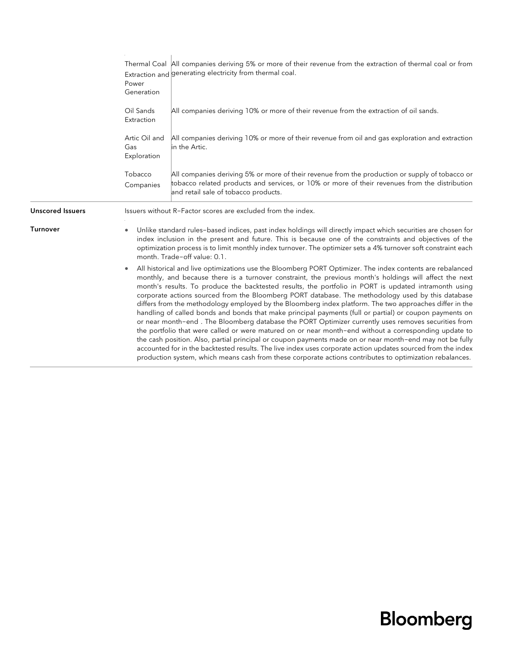|                         | Power<br>Generation                                                                                                                                                                                                                                                                                                                                                             | Thermal Coal All companies deriving 5% or more of their revenue from the extraction of thermal coal or from<br>Extraction and generating electricity from thermal coal.                                                                                                                                                                                                                                                                                                                                                                                                                                                                                                                                                                                                                                                                                                                                                                                                                                                                                                                                                                                                                                          |
|-------------------------|---------------------------------------------------------------------------------------------------------------------------------------------------------------------------------------------------------------------------------------------------------------------------------------------------------------------------------------------------------------------------------|------------------------------------------------------------------------------------------------------------------------------------------------------------------------------------------------------------------------------------------------------------------------------------------------------------------------------------------------------------------------------------------------------------------------------------------------------------------------------------------------------------------------------------------------------------------------------------------------------------------------------------------------------------------------------------------------------------------------------------------------------------------------------------------------------------------------------------------------------------------------------------------------------------------------------------------------------------------------------------------------------------------------------------------------------------------------------------------------------------------------------------------------------------------------------------------------------------------|
|                         | Oil Sands<br>Extraction                                                                                                                                                                                                                                                                                                                                                         | All companies deriving 10% or more of their revenue from the extraction of oil sands.                                                                                                                                                                                                                                                                                                                                                                                                                                                                                                                                                                                                                                                                                                                                                                                                                                                                                                                                                                                                                                                                                                                            |
|                         | Artic Oil and<br>Gas<br>Exploration                                                                                                                                                                                                                                                                                                                                             | All companies deriving 10% or more of their revenue from oil and gas exploration and extraction<br>in the Artic.                                                                                                                                                                                                                                                                                                                                                                                                                                                                                                                                                                                                                                                                                                                                                                                                                                                                                                                                                                                                                                                                                                 |
|                         | Tobacco<br>Companies                                                                                                                                                                                                                                                                                                                                                            | All companies deriving 5% or more of their revenue from the production or supply of tobacco or<br>tobacco related products and services, or 10% or more of their revenues from the distribution<br>and retail sale of tobacco products.                                                                                                                                                                                                                                                                                                                                                                                                                                                                                                                                                                                                                                                                                                                                                                                                                                                                                                                                                                          |
| <b>Unscored Issuers</b> | Issuers without R-Factor scores are excluded from the index.                                                                                                                                                                                                                                                                                                                    |                                                                                                                                                                                                                                                                                                                                                                                                                                                                                                                                                                                                                                                                                                                                                                                                                                                                                                                                                                                                                                                                                                                                                                                                                  |
| <b>Turnover</b>         | Unlike standard rules-based indices, past index holdings will directly impact which securities are chosen for<br>٠<br>index inclusion in the present and future. This is because one of the constraints and objectives of the<br>optimization process is to limit monthly index turnover. The optimizer sets a 4% turnover soft constraint each<br>month. Trade-off value: 0.1. |                                                                                                                                                                                                                                                                                                                                                                                                                                                                                                                                                                                                                                                                                                                                                                                                                                                                                                                                                                                                                                                                                                                                                                                                                  |
| $\bullet$               |                                                                                                                                                                                                                                                                                                                                                                                 | All historical and live optimizations use the Bloomberg PORT Optimizer. The index contents are rebalanced<br>monthly, and because there is a turnover constraint, the previous month's holdings will affect the next<br>month's results. To produce the backtested results, the portfolio in PORT is updated intramonth using<br>corporate actions sourced from the Bloomberg PORT database. The methodology used by this database<br>differs from the methodology employed by the Bloomberg index platform. The two approaches differ in the<br>handling of called bonds and bonds that make principal payments (full or partial) or coupon payments on<br>or near month-end. The Bloomberg database the PORT Optimizer currently uses removes securities from<br>the portfolio that were called or were matured on or near month-end without a corresponding update to<br>the cash position. Also, partial principal or coupon payments made on or near month-end may not be fully<br>accounted for in the backtested results. The live index uses corporate action updates sourced from the index<br>production system, which means cash from these corporate actions contributes to optimization rebalances. |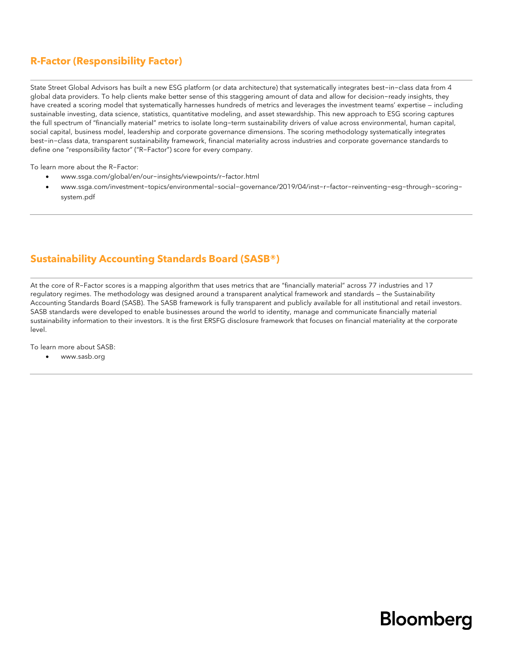#### **R-Factor (Responsibility Factor)**

State Street Global Advisors has built a new ESG platform (or data architecture) that systematically integrates best-in-class data from 4 global data providers. To help clients make better sense of this staggering amount of data and allow for decision-ready insights, they have created a scoring model that systematically harnesses hundreds of metrics and leverages the investment teams' expertise — including sustainable investing, data science, statistics, quantitative modeling, and asset stewardship. This new approach to ESG scoring captures the full spectrum of "financially material" metrics to isolate long-term sustainability drivers of value across environmental, human capital, social capital, business model, leadership and corporate governance dimensions. The scoring methodology systematically integrates best-in-class data, transparent sustainability framework, financial materiality across industries and corporate governance standards to define one "responsibility factor" ("R-Factor") score for every company.

To learn more about the R-Factor:

- [www.ssga.com/global/en/our-insights/viewpoints/r-factor.html](http://www.ssga.com/global/en/our-insights/viewpoints/r-factor.html)
- www.ssga.com/investment-topics/environmental-social-governance/2019/04/inst-r-factor-reinventing-esg-through-scoringsystem.pdf

#### **Sustainability Accounting Standards Board (SASB®)**

At the core of R-Factor scores is a mapping algorithm that uses metrics that are "financially material" across 77 industries and 17 regulatory regimes. The methodology was designed around a transparent analytical framework and standards — the Sustainability Accounting Standards Board (SASB). The SASB framework is fully transparent and publicly available for all institutional and retail investors. SASB standards were developed to enable businesses around the world to identity, manage and communicate financially material sustainability information to their investors. It is the first ERSFG disclosure framework that focuses on financial materiality at the corporate level.

To learn more about SASB:

• www.sasb.org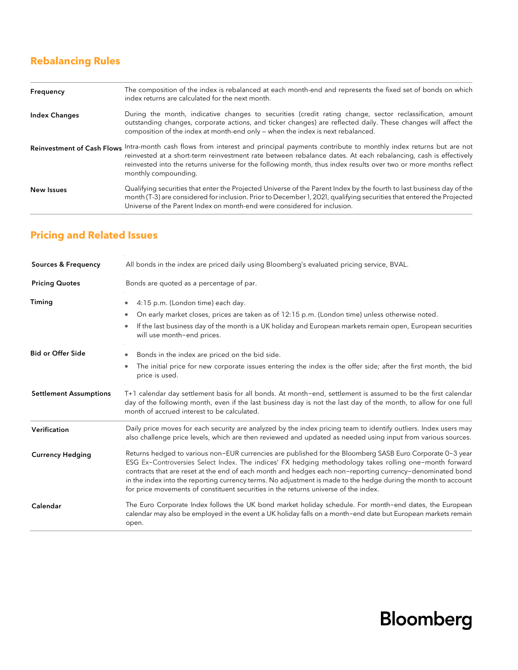### **Rebalancing Rules**

| Frequency            | The composition of the index is rebalanced at each month-end and represents the fixed set of bonds on which<br>index returns are calculated for the next month.                                                                                                                                                                                                                                      |
|----------------------|------------------------------------------------------------------------------------------------------------------------------------------------------------------------------------------------------------------------------------------------------------------------------------------------------------------------------------------------------------------------------------------------------|
| <b>Index Changes</b> | During the month, indicative changes to securities (credit rating change, sector reclassification, amount<br>outstanding changes, corporate actions, and ticker changes) are reflected daily. These changes will affect the<br>composition of the index at month-end only – when the index is next rebalanced.                                                                                       |
|                      | Reinvestment of Cash Flows Intra-month cash flows from interest and principal payments contribute to monthly index returns but are not<br>reinvested at a short-term reinvestment rate between rebalance dates. At each rebalancing, cash is effectively<br>reinvested into the returns universe for the following month, thus index results over two or more months reflect<br>monthly compounding. |
| <b>New Issues</b>    | Qualifying securities that enter the Projected Universe of the Parent Index by the fourth to last business day of the<br>month (T-3) are considered for inclusion. Prior to December 1, 2021, qualifying securities that entered the Projected<br>Universe of the Parent Index on month-end were considered for inclusion.                                                                           |

| <b>Sources &amp; Frequency</b> | All bonds in the index are priced daily using Bloomberg's evaluated pricing service, BVAL.                                                                                                                                                                                                                                                                                                                                                                                                                                                |  |
|--------------------------------|-------------------------------------------------------------------------------------------------------------------------------------------------------------------------------------------------------------------------------------------------------------------------------------------------------------------------------------------------------------------------------------------------------------------------------------------------------------------------------------------------------------------------------------------|--|
| <b>Pricing Quotes</b>          | Bonds are quoted as a percentage of par.                                                                                                                                                                                                                                                                                                                                                                                                                                                                                                  |  |
| Timing                         | 4:15 p.m. (London time) each day.<br>۰                                                                                                                                                                                                                                                                                                                                                                                                                                                                                                    |  |
|                                | On early market closes, prices are taken as of 12:15 p.m. (London time) unless otherwise noted.                                                                                                                                                                                                                                                                                                                                                                                                                                           |  |
|                                | If the last business day of the month is a UK holiday and European markets remain open, European securities<br>will use month-end prices.                                                                                                                                                                                                                                                                                                                                                                                                 |  |
| <b>Bid or Offer Side</b>       | Bonds in the index are priced on the bid side.<br>۰                                                                                                                                                                                                                                                                                                                                                                                                                                                                                       |  |
|                                | The initial price for new corporate issues entering the index is the offer side; after the first month, the bid<br>price is used.                                                                                                                                                                                                                                                                                                                                                                                                         |  |
| <b>Settlement Assumptions</b>  | T+1 calendar day settlement basis for all bonds. At month-end, settlement is assumed to be the first calendar<br>day of the following month, even if the last business day is not the last day of the month, to allow for one full<br>month of accrued interest to be calculated.                                                                                                                                                                                                                                                         |  |
| Verification                   | Daily price moves for each security are analyzed by the index pricing team to identify outliers. Index users may<br>also challenge price levels, which are then reviewed and updated as needed using input from various sources.                                                                                                                                                                                                                                                                                                          |  |
| <b>Currency Hedging</b>        | Returns hedged to various non-EUR currencies are published for the Bloomberg SASB Euro Corporate 0-3 year<br>ESG Ex-Controversies Select Index. The indices' FX hedging methodology takes rolling one-month forward<br>contracts that are reset at the end of each month and hedges each non-reporting currency-denominated bond<br>in the index into the reporting currency terms. No adjustment is made to the hedge during the month to account<br>for price movements of constituent securities in the returns universe of the index. |  |
| Calendar                       | The Euro Corporate Index follows the UK bond market holiday schedule. For month-end dates, the European<br>calendar may also be employed in the event a UK holiday falls on a month-end date but European markets remain<br>open.                                                                                                                                                                                                                                                                                                         |  |

### **Pricing and Related Issues**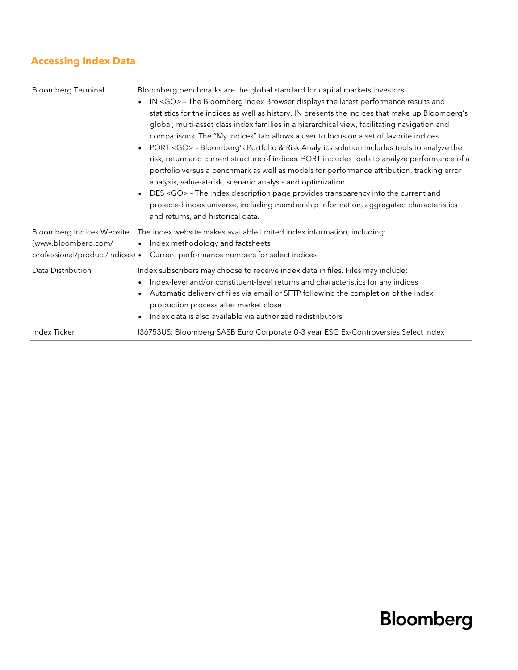### **Accessing Index Data**

| <b>Bloomberg Terminal</b>                                                                  | Bloomberg benchmarks are the global standard for capital markets investors.<br>IN <go> - The Bloomberg Index Browser displays the latest performance results and<br/><math display="inline">\bullet</math><br/>statistics for the indices as well as history. IN presents the indices that make up Bloomberg's<br/>global, multi-asset class index families in a hierarchical view, facilitating navigation and<br/>comparisons. The "My Indices" tab allows a user to focus on a set of favorite indices.<br/>PORT <go> - Bloomberg's Portfolio &amp; Risk Analytics solution includes tools to analyze the<br/><math display="inline">\bullet</math><br/>risk, return and current structure of indices. PORT includes tools to analyze performance of a<br/>portfolio versus a benchmark as well as models for performance attribution, tracking error<br/>analysis, value-at-risk, scenario analysis and optimization.<br/>DES <go> - The index description page provides transparency into the current and<br/><math display="inline">\bullet</math><br/>projected index universe, including membership information, aggregated characteristics<br/>and returns, and historical data.</go></go></go> |
|--------------------------------------------------------------------------------------------|----------------------------------------------------------------------------------------------------------------------------------------------------------------------------------------------------------------------------------------------------------------------------------------------------------------------------------------------------------------------------------------------------------------------------------------------------------------------------------------------------------------------------------------------------------------------------------------------------------------------------------------------------------------------------------------------------------------------------------------------------------------------------------------------------------------------------------------------------------------------------------------------------------------------------------------------------------------------------------------------------------------------------------------------------------------------------------------------------------------------------------------------------------------------------------------------------------|
| <b>Bloomberg Indices Website</b><br>(www.bloomberg.com/<br>professional/product/indices) • | The index website makes available limited index information, including:<br>Index methodology and factsheets<br>$\bullet$<br>Current performance numbers for select indices                                                                                                                                                                                                                                                                                                                                                                                                                                                                                                                                                                                                                                                                                                                                                                                                                                                                                                                                                                                                                               |
| Data Distribution                                                                          | Index subscribers may choose to receive index data in files. Files may include:<br>Index-level and/or constituent-level returns and characteristics for any indices<br>$\bullet$<br>Automatic delivery of files via email or SFTP following the completion of the index<br>٠<br>production process after market close<br>Index data is also available via authorized redistributors<br>$\bullet$                                                                                                                                                                                                                                                                                                                                                                                                                                                                                                                                                                                                                                                                                                                                                                                                         |
| <b>Index Ticker</b>                                                                        | 136753US: Bloomberg SASB Euro Corporate 0-3 year ESG Ex-Controversies Select Index                                                                                                                                                                                                                                                                                                                                                                                                                                                                                                                                                                                                                                                                                                                                                                                                                                                                                                                                                                                                                                                                                                                       |